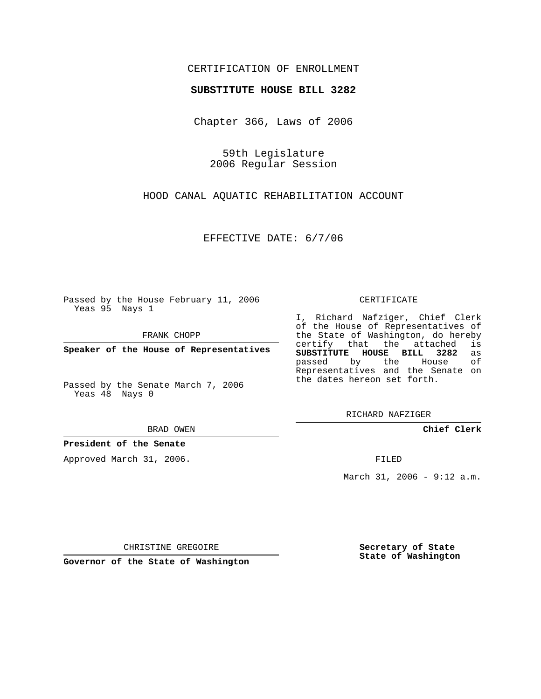## CERTIFICATION OF ENROLLMENT

#### **SUBSTITUTE HOUSE BILL 3282**

Chapter 366, Laws of 2006

59th Legislature 2006 Regular Session

HOOD CANAL AQUATIC REHABILITATION ACCOUNT

EFFECTIVE DATE: 6/7/06

Passed by the House February 11, 2006 Yeas 95 Nays 1

FRANK CHOPP

**Speaker of the House of Representatives**

Passed by the Senate March 7, 2006 Yeas 48 Nays 0

BRAD OWEN

### **President of the Senate**

Approved March 31, 2006.

CERTIFICATE

I, Richard Nafziger, Chief Clerk of the House of Representatives of the State of Washington, do hereby<br>certify that the attached is certify that the attached **SUBSTITUTE HOUSE BILL 3282** as passed by the Representatives and the Senate on the dates hereon set forth.

RICHARD NAFZIGER

**Chief Clerk**

FILED

March 31, 2006 - 9:12 a.m.

CHRISTINE GREGOIRE

**Governor of the State of Washington**

**Secretary of State State of Washington**